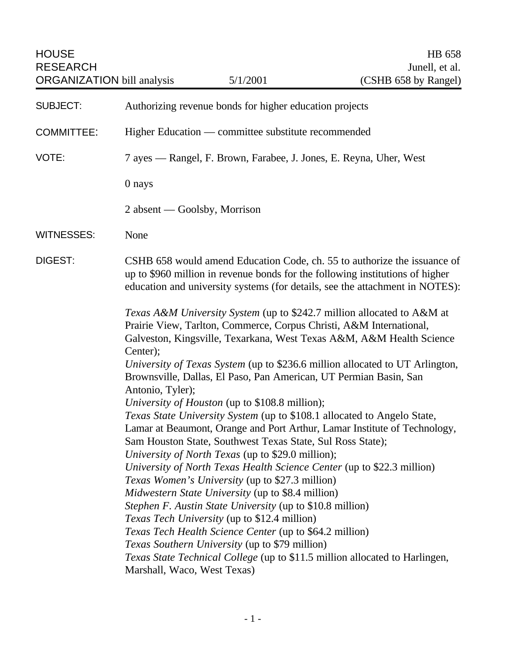| <b>HOUSE</b><br><b>RESEARCH</b><br><b>ORGANIZATION</b> bill analysis |                              | 5/1/2001                                                                                                                                                                                                                                                                                                                                                                                                                                                                                                                                                                                                                                                                                                                          | HB 658<br>Junell, et al.<br>(CSHB 658 by Rangel)                                                                                                                                                                                          |
|----------------------------------------------------------------------|------------------------------|-----------------------------------------------------------------------------------------------------------------------------------------------------------------------------------------------------------------------------------------------------------------------------------------------------------------------------------------------------------------------------------------------------------------------------------------------------------------------------------------------------------------------------------------------------------------------------------------------------------------------------------------------------------------------------------------------------------------------------------|-------------------------------------------------------------------------------------------------------------------------------------------------------------------------------------------------------------------------------------------|
| <b>SUBJECT:</b>                                                      |                              | Authorizing revenue bonds for higher education projects                                                                                                                                                                                                                                                                                                                                                                                                                                                                                                                                                                                                                                                                           |                                                                                                                                                                                                                                           |
| <b>COMMITTEE:</b>                                                    |                              | Higher Education — committee substitute recommended                                                                                                                                                                                                                                                                                                                                                                                                                                                                                                                                                                                                                                                                               |                                                                                                                                                                                                                                           |
| VOTE:                                                                |                              | 7 ayes — Rangel, F. Brown, Farabee, J. Jones, E. Reyna, Uher, West                                                                                                                                                                                                                                                                                                                                                                                                                                                                                                                                                                                                                                                                |                                                                                                                                                                                                                                           |
|                                                                      | 0 nays                       |                                                                                                                                                                                                                                                                                                                                                                                                                                                                                                                                                                                                                                                                                                                                   |                                                                                                                                                                                                                                           |
|                                                                      |                              | 2 absent — Goolsby, Morrison                                                                                                                                                                                                                                                                                                                                                                                                                                                                                                                                                                                                                                                                                                      |                                                                                                                                                                                                                                           |
| <b>WITNESSES:</b>                                                    | None                         |                                                                                                                                                                                                                                                                                                                                                                                                                                                                                                                                                                                                                                                                                                                                   |                                                                                                                                                                                                                                           |
| <b>DIGEST:</b>                                                       |                              |                                                                                                                                                                                                                                                                                                                                                                                                                                                                                                                                                                                                                                                                                                                                   | CSHB 658 would amend Education Code, ch. 55 to authorize the issuance of<br>up to \$960 million in revenue bonds for the following institutions of higher<br>education and university systems (for details, see the attachment in NOTES): |
|                                                                      | Center);<br>Antonio, Tyler); | Prairie View, Tarlton, Commerce, Corpus Christi, A&M International,<br>Brownsville, Dallas, El Paso, Pan American, UT Permian Basin, San                                                                                                                                                                                                                                                                                                                                                                                                                                                                                                                                                                                          | Texas A&M University System (up to \$242.7 million allocated to A&M at<br>Galveston, Kingsville, Texarkana, West Texas A&M, A&M Health Science<br>University of Texas System (up to \$236.6 million allocated to UT Arlington,            |
|                                                                      |                              | University of Houston (up to \$108.8 million);<br>Texas State University System (up to \$108.1 allocated to Angelo State,<br>Sam Houston State, Southwest Texas State, Sul Ross State);<br>University of North Texas (up to \$29.0 million);<br>University of North Texas Health Science Center (up to \$22.3 million)<br><i>Texas Women's University</i> (up to \$27.3 million)<br><i>Midwestern State University</i> (up to \$8.4 million)<br><i>Stephen F. Austin State University</i> (up to \$10.8 million)<br><i>Texas Tech University</i> (up to \$12.4 million)<br><i>Texas Tech Health Science Center</i> (up to \$64.2 million)<br><i>Texas Southern University</i> (up to \$79 million)<br>Marshall, Waco, West Texas) | Lamar at Beaumont, Orange and Port Arthur, Lamar Institute of Technology,<br>Texas State Technical College (up to \$11.5 million allocated to Harlingen,                                                                                  |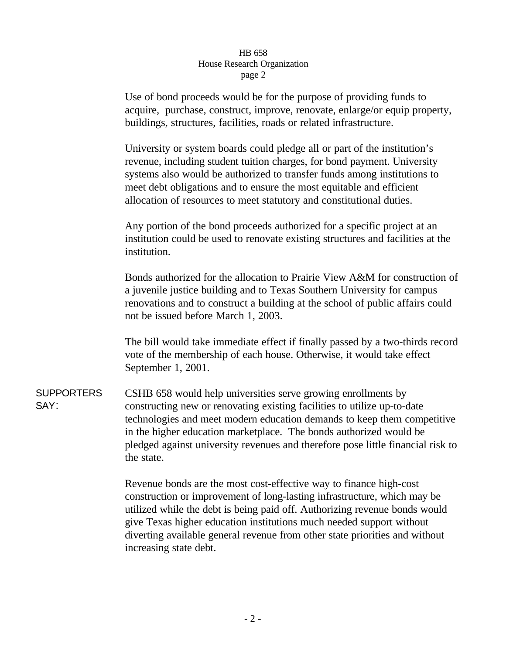Use of bond proceeds would be for the purpose of providing funds to acquire, purchase, construct, improve, renovate, enlarge/or equip property, buildings, structures, facilities, roads or related infrastructure.

University or system boards could pledge all or part of the institution's revenue, including student tuition charges, for bond payment. University systems also would be authorized to transfer funds among institutions to meet debt obligations and to ensure the most equitable and efficient allocation of resources to meet statutory and constitutional duties.

Any portion of the bond proceeds authorized for a specific project at an institution could be used to renovate existing structures and facilities at the institution.

Bonds authorized for the allocation to Prairie View A&M for construction of a juvenile justice building and to Texas Southern University for campus renovations and to construct a building at the school of public affairs could not be issued before March 1, 2003.

The bill would take immediate effect if finally passed by a two-thirds record vote of the membership of each house. Otherwise, it would take effect September 1, 2001.

SUPPORTERS SAY: CSHB 658 would help universities serve growing enrollments by constructing new or renovating existing facilities to utilize up-to-date technologies and meet modern education demands to keep them competitive in the higher education marketplace. The bonds authorized would be pledged against university revenues and therefore pose little financial risk to the state.

> Revenue bonds are the most cost-effective way to finance high-cost construction or improvement of long-lasting infrastructure, which may be utilized while the debt is being paid off. Authorizing revenue bonds would give Texas higher education institutions much needed support without diverting available general revenue from other state priorities and without increasing state debt.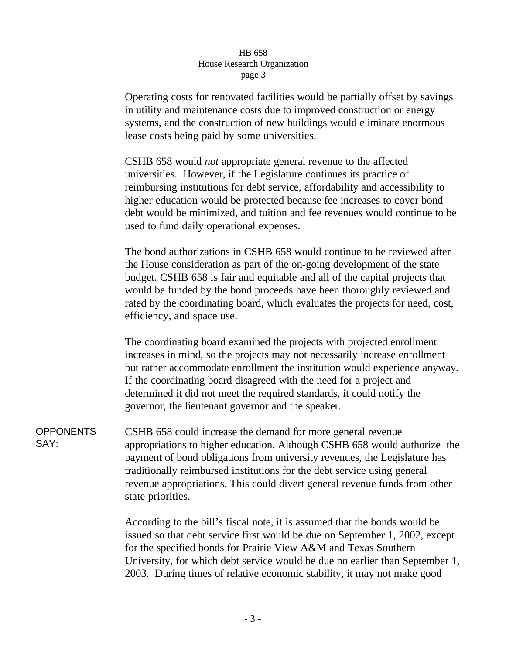Operating costs for renovated facilities would be partially offset by savings in utility and maintenance costs due to improved construction or energy systems, and the construction of new buildings would eliminate enormous lease costs being paid by some universities.

CSHB 658 would *not* appropriate general revenue to the affected universities. However, if the Legislature continues its practice of reimbursing institutions for debt service, affordability and accessibility to higher education would be protected because fee increases to cover bond debt would be minimized, and tuition and fee revenues would continue to be used to fund daily operational expenses.

The bond authorizations in CSHB 658 would continue to be reviewed after the House consideration as part of the on-going development of the state budget. CSHB 658 is fair and equitable and all of the capital projects that would be funded by the bond proceeds have been thoroughly reviewed and rated by the coordinating board, which evaluates the projects for need, cost, efficiency, and space use.

The coordinating board examined the projects with projected enrollment increases in mind, so the projects may not necessarily increase enrollment but rather accommodate enrollment the institution would experience anyway. If the coordinating board disagreed with the need for a project and determined it did not meet the required standards, it could notify the governor, the lieutenant governor and the speaker.

**OPPONENTS** SAY: CSHB 658 could increase the demand for more general revenue appropriations to higher education. Although CSHB 658 would authorize the payment of bond obligations from university revenues, the Legislature has traditionally reimbursed institutions for the debt service using general revenue appropriations. This could divert general revenue funds from other state priorities.

> According to the bill's fiscal note, it is assumed that the bonds would be issued so that debt service first would be due on September 1, 2002, except for the specified bonds for Prairie View A&M and Texas Southern University, for which debt service would be due no earlier than September 1, 2003. During times of relative economic stability, it may not make good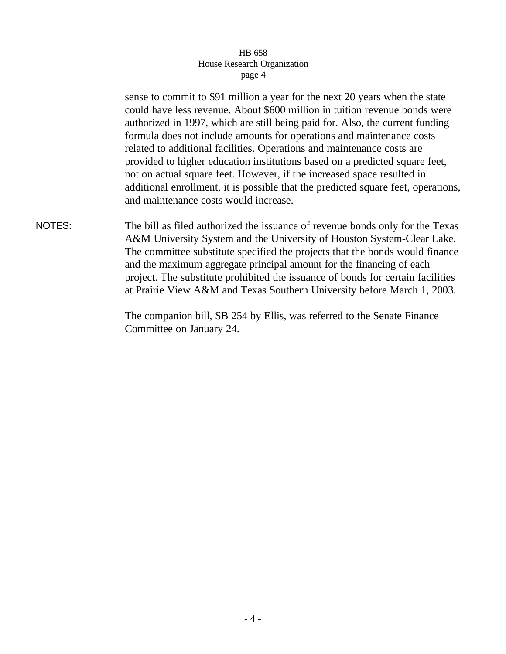sense to commit to \$91 million a year for the next 20 years when the state could have less revenue. About \$600 million in tuition revenue bonds were authorized in 1997, which are still being paid for. Also, the current funding formula does not include amounts for operations and maintenance costs related to additional facilities. Operations and maintenance costs are provided to higher education institutions based on a predicted square feet, not on actual square feet. However, if the increased space resulted in additional enrollment, it is possible that the predicted square feet, operations, and maintenance costs would increase.

NOTES: The bill as filed authorized the issuance of revenue bonds only for the Texas A&M University System and the University of Houston System-Clear Lake. The committee substitute specified the projects that the bonds would finance and the maximum aggregate principal amount for the financing of each project. The substitute prohibited the issuance of bonds for certain facilities at Prairie View A&M and Texas Southern University before March 1, 2003.

> The companion bill, SB 254 by Ellis, was referred to the Senate Finance Committee on January 24.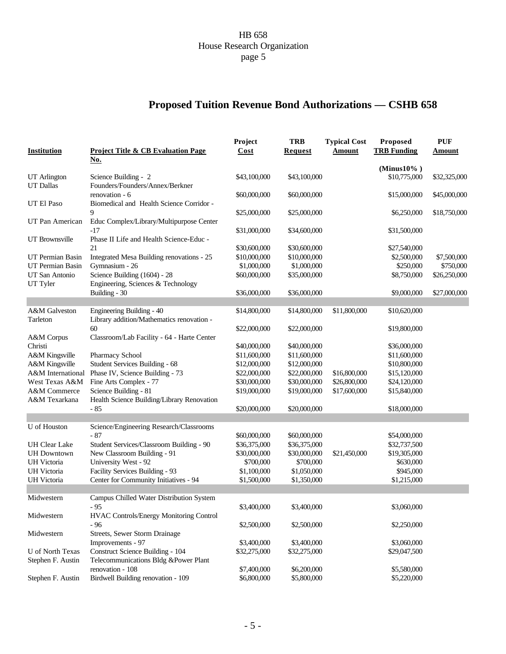# **Proposed Tuition Revenue Bond Authorizations — CSHB 658**

| <b>Institution</b>                      | Project Title & CB Evaluation Page                        | Project<br>Cost              | <b>TRB</b><br><b>Request</b> | <b>Typical Cost</b><br>Amount | Proposed<br><b>TRB Funding</b>  | <b>PUF</b><br><b>Amount</b> |
|-----------------------------------------|-----------------------------------------------------------|------------------------------|------------------------------|-------------------------------|---------------------------------|-----------------------------|
|                                         | <u>No.</u>                                                |                              |                              |                               |                                 |                             |
|                                         |                                                           | \$43,100,000                 | \$43,100,000                 |                               | (Minus $10\%$ )<br>\$10,775,000 |                             |
| <b>UT</b> Arlington<br><b>UT</b> Dallas | Science Building - 2<br>Founders/Founders/Annex/Berkner   |                              |                              |                               |                                 | \$32,325,000                |
|                                         | renovation - 6                                            | \$60,000,000                 | \$60,000,000                 |                               | \$15,000,000                    | \$45,000,000                |
| UT El Paso                              | Biomedical and Health Science Corridor -                  |                              |                              |                               |                                 |                             |
|                                         | 9                                                         | \$25,000,000                 | \$25,000,000                 |                               | \$6,250,000                     | \$18,750,000                |
| UT Pan American                         | Educ Complex/Library/Multipurpose Center                  |                              |                              |                               |                                 |                             |
|                                         | $-17$                                                     | \$31,000,000                 | \$34,600,000                 |                               | \$31,500,000                    |                             |
| UT Brownsville                          | Phase II Life and Health Science-Educ -                   |                              |                              |                               |                                 |                             |
|                                         | 21                                                        | \$30,600,000                 | \$30,600,000                 |                               | \$27,540,000                    |                             |
| UT Permian Basin                        | Integrated Mesa Building renovations - 25                 | \$10,000,000                 | \$10,000,000                 |                               | \$2,500,000                     | \$7,500,000                 |
| UT Permian Basin                        | Gymnasium - 26                                            | \$1,000,000                  | \$1,000,000                  |                               | \$250,000                       | \$750,000                   |
| UT San Antonio                          | Science Building (1604) - 28                              | \$60,000,000                 | \$35,000,000                 |                               | \$8,750,000                     | \$26,250,000                |
| UT Tyler                                | Engineering, Sciences & Technology                        |                              |                              |                               |                                 |                             |
|                                         | Building - 30                                             | \$36,000,000                 | \$36,000,000                 |                               | \$9,000,000                     | \$27,000,000                |
|                                         |                                                           |                              |                              |                               |                                 |                             |
| A&M Galveston                           | Engineering Building - 40                                 | \$14,800,000                 | \$14,800,000                 | \$11,800,000                  | \$10,620,000                    |                             |
| Tarleton                                | Library addition/Mathematics renovation -                 |                              |                              |                               |                                 |                             |
|                                         | 60                                                        | \$22,000,000                 | \$22,000,000                 |                               | \$19,800,000                    |                             |
| A&M Corpus                              | Classroom/Lab Facility - 64 - Harte Center                |                              |                              |                               |                                 |                             |
| Christi                                 |                                                           | \$40,000,000                 | \$40,000,000                 |                               | \$36,000,000                    |                             |
| A&M Kingsville                          | Pharmacy School                                           | \$11,600,000                 | \$11,600,000                 |                               | \$11,600,000                    |                             |
| A&M Kingsville<br>A&M International     | Student Services Building - 68                            | \$12,000,000                 | \$12,000,000                 |                               | \$10,800,000                    |                             |
| West Texas A&M                          | Phase IV, Science Building - 73<br>Fine Arts Complex - 77 | \$22,000,000<br>\$30,000,000 | \$22,000,000<br>\$30,000,000 | \$16,800,000<br>\$26,800,000  | \$15,120,000<br>\$24,120,000    |                             |
| A&M Commerce                            | Science Building - 81                                     | \$19,000,000                 | \$19,000,000                 | \$17,600,000                  | \$15,840,000                    |                             |
| A&M Texarkana                           | Health Science Building/Library Renovation                |                              |                              |                               |                                 |                             |
|                                         | $-85$                                                     | \$20,000,000                 | \$20,000,000                 |                               | \$18,000,000                    |                             |
|                                         |                                                           |                              |                              |                               |                                 |                             |
| U of Houston                            | Science/Engineering Research/Classrooms                   |                              |                              |                               |                                 |                             |
|                                         | $-87$                                                     | \$60,000,000                 | \$60,000,000                 |                               | \$54,000,000                    |                             |
| <b>UH Clear Lake</b>                    | Student Services/Classroom Building - 90                  | \$36,375,000                 | \$36,375,000                 |                               | \$32,737,500                    |                             |
| <b>UH</b> Downtown                      | New Classroom Building - 91                               | \$30,000,000                 | \$30,000,000                 | \$21,450,000                  | \$19,305,000                    |                             |
| <b>UH</b> Victoria                      | University West - 92                                      | \$700,000                    | \$700,000                    |                               | \$630,000                       |                             |
| <b>UH</b> Victoria                      | Facility Services Building - 93                           | \$1,100,000                  | \$1,050,000                  |                               | \$945,000                       |                             |
| <b>UH</b> Victoria                      | Center for Community Initiatives - 94                     | \$1,500,000                  | \$1,350,000                  |                               | \$1,215,000                     |                             |
|                                         |                                                           |                              |                              |                               |                                 |                             |
| Midwestern                              | Campus Chilled Water Distribution System                  |                              |                              |                               |                                 |                             |
|                                         | - 95                                                      | \$3,400,000                  | \$3,400,000                  |                               | \$3,060,000                     |                             |
| Midwestern                              | HVAC Controls/Energy Monitoring Control                   |                              |                              |                               |                                 |                             |
|                                         | - 96                                                      | \$2,500,000                  | \$2,500,000                  |                               | \$2,250,000                     |                             |
| Midwestern                              | Streets, Sewer Storm Drainage                             |                              |                              |                               |                                 |                             |
|                                         | Improvements - 97                                         | \$3,400,000                  | \$3,400,000                  |                               | \$3,060,000                     |                             |
| U of North Texas                        | Construct Science Building - 104                          | \$32,275,000                 | \$32,275,000                 |                               | \$29,047,500                    |                             |
| Stephen F. Austin                       | Telecommunications Bldg &Power Plant                      |                              |                              |                               |                                 |                             |
|                                         | renovation - 108                                          | \$7,400,000                  | \$6,200,000                  |                               | \$5,580,000                     |                             |
| Stephen F. Austin                       | Birdwell Building renovation - 109                        | \$6,800,000                  | \$5,800,000                  |                               | \$5,220,000                     |                             |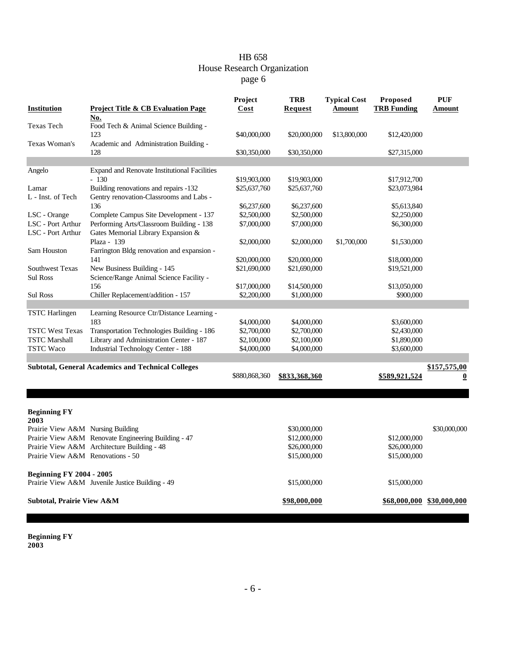| <b>Institution</b>                                                        | Project Title & CB Evaluation Page                                     | Project<br>Cost | <b>TRB</b><br><b>Request</b> | <b>Typical Cost</b><br>Amount | Proposed<br><b>TRB Funding</b> | <b>PUF</b><br>Amount      |  |
|---------------------------------------------------------------------------|------------------------------------------------------------------------|-----------------|------------------------------|-------------------------------|--------------------------------|---------------------------|--|
| Texas Tech                                                                | No.<br>Food Tech & Animal Science Building -<br>123                    | \$40,000,000    | \$20,000,000                 | \$13,800,000                  | \$12,420,000                   |                           |  |
| Texas Woman's                                                             | Academic and Administration Building -<br>128                          | \$30,350,000    | \$30,350,000                 |                               | \$27,315,000                   |                           |  |
|                                                                           |                                                                        |                 |                              |                               |                                |                           |  |
| Angelo                                                                    | Expand and Renovate Institutional Facilities<br>$-130$                 | \$19,903,000    | \$19,903,000                 |                               | \$17,912,700                   |                           |  |
| Lamar                                                                     | Building renovations and repairs -132                                  | \$25,637,760    | \$25,637,760                 |                               | \$23,073,984                   |                           |  |
| L - Inst. of Tech                                                         | Gentry renovation-Classrooms and Labs -                                |                 |                              |                               |                                |                           |  |
|                                                                           | 136                                                                    | \$6,237,600     | \$6,237,600                  |                               | \$5,613,840                    |                           |  |
| LSC - Orange                                                              | Complete Campus Site Development - 137                                 | \$2,500,000     | \$2,500,000                  |                               | \$2,250,000                    |                           |  |
| LSC - Port Arthur                                                         | Performing Arts/Classroom Building - 138                               | \$7,000,000     | \$7,000,000                  |                               | \$6,300,000                    |                           |  |
| LSC - Port Arthur                                                         | Gates Memorial Library Expansion &                                     |                 |                              |                               |                                |                           |  |
|                                                                           | Plaza - 139                                                            | \$2,000,000     | \$2,000,000                  | \$1,700,000                   | \$1,530,000                    |                           |  |
| Sam Houston                                                               | Farrington Bldg renovation and expansion -                             |                 |                              |                               |                                |                           |  |
|                                                                           | 141                                                                    | \$20,000,000    | \$20,000,000                 |                               | \$18,000,000                   |                           |  |
| <b>Southwest Texas</b><br><b>Sul Ross</b>                                 | New Business Building - 145<br>Science/Range Animal Science Facility - | \$21,690,000    | \$21,690,000                 |                               | \$19,521,000                   |                           |  |
|                                                                           | 156                                                                    | \$17,000,000    | \$14,500,000                 |                               | \$13,050,000                   |                           |  |
| <b>Sul Ross</b>                                                           | Chiller Replacement/addition - 157                                     | \$2,200,000     | \$1,000,000                  |                               | \$900,000                      |                           |  |
|                                                                           |                                                                        |                 |                              |                               |                                |                           |  |
| <b>TSTC</b> Harlingen                                                     | Learning Resource Ctr/Distance Learning -                              |                 |                              |                               |                                |                           |  |
|                                                                           | 183                                                                    | \$4,000,000     | \$4,000,000                  |                               | \$3,600,000                    |                           |  |
| <b>TSTC West Texas</b>                                                    | Transportation Technologies Building - 186                             | \$2,700,000     | \$2,700,000                  |                               | \$2,430,000                    |                           |  |
| <b>TSTC Marshall</b>                                                      | Library and Administration Center - 187                                | \$2,100,000     | \$2,100,000                  |                               | \$1,890,000                    |                           |  |
| <b>TSTC Waco</b>                                                          | <b>Industrial Technology Center - 188</b>                              | \$4,000,000     | \$4,000,000                  |                               | \$3,600,000                    |                           |  |
|                                                                           |                                                                        |                 |                              |                               |                                |                           |  |
| <b>Subtotal, General Academics and Technical Colleges</b><br>\$157,575,00 |                                                                        |                 |                              |                               |                                |                           |  |
|                                                                           |                                                                        | \$880,868,360   | \$833,368,360                |                               | \$589,921,524                  | $\bf{0}$                  |  |
|                                                                           |                                                                        |                 |                              |                               |                                |                           |  |
|                                                                           |                                                                        |                 |                              |                               |                                |                           |  |
|                                                                           |                                                                        |                 |                              |                               |                                |                           |  |
| <b>Beginning FY</b><br>2003                                               |                                                                        |                 |                              |                               |                                |                           |  |
| Prairie View A&M Nursing Building                                         |                                                                        |                 | \$30,000,000                 |                               |                                | \$30,000,000              |  |
|                                                                           | Prairie View A&M Renovate Engineering Building - 47                    |                 | \$12,000,000                 |                               | \$12,000,000                   |                           |  |
|                                                                           | Prairie View A&M Architecture Building - 48                            |                 | \$26,000,000                 |                               | \$26,000,000                   |                           |  |
| Prairie View A&M Renovations - 50                                         |                                                                        |                 | \$15,000,000                 |                               | \$15,000,000                   |                           |  |
|                                                                           |                                                                        |                 |                              |                               |                                |                           |  |
| <b>Beginning FY 2004 - 2005</b>                                           |                                                                        |                 |                              |                               |                                |                           |  |
|                                                                           | Prairie View A&M Juvenile Justice Building - 49                        |                 | \$15,000,000                 |                               | \$15,000,000                   |                           |  |
| Subtotal, Prairie View A&M                                                |                                                                        |                 | \$98,000,000                 |                               |                                | \$68,000,000 \$30,000,000 |  |
|                                                                           |                                                                        |                 |                              |                               |                                |                           |  |

**Beginning FY 2003**